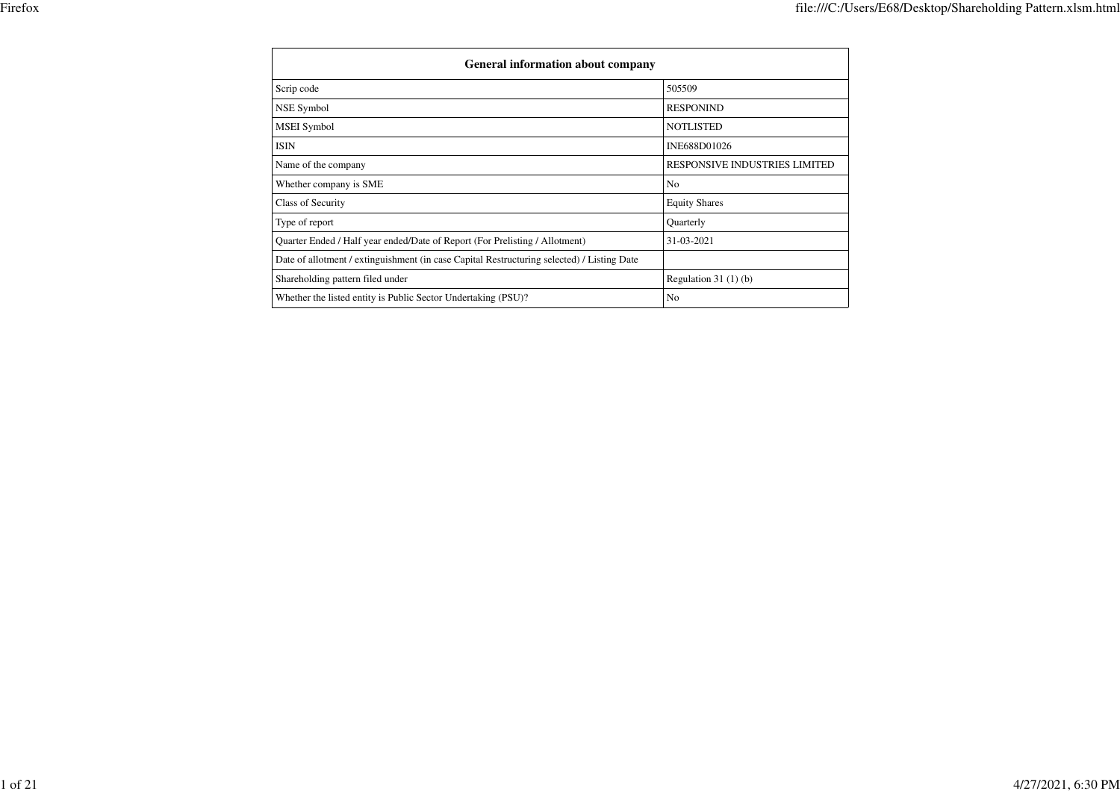| <b>General information about company</b>                                                   |                               |  |  |  |  |  |  |
|--------------------------------------------------------------------------------------------|-------------------------------|--|--|--|--|--|--|
| Scrip code                                                                                 | 505509                        |  |  |  |  |  |  |
| <b>NSE Symbol</b>                                                                          | <b>RESPONIND</b>              |  |  |  |  |  |  |
| <b>MSEI</b> Symbol                                                                         | <b>NOTLISTED</b>              |  |  |  |  |  |  |
| <b>ISIN</b>                                                                                | INE688D01026                  |  |  |  |  |  |  |
| Name of the company                                                                        | RESPONSIVE INDUSTRIES LIMITED |  |  |  |  |  |  |
| Whether company is SME                                                                     | N <sub>0</sub>                |  |  |  |  |  |  |
| Class of Security                                                                          | <b>Equity Shares</b>          |  |  |  |  |  |  |
| Type of report                                                                             | Quarterly                     |  |  |  |  |  |  |
| Quarter Ended / Half year ended/Date of Report (For Prelisting / Allotment)                | 31-03-2021                    |  |  |  |  |  |  |
| Date of allotment / extinguishment (in case Capital Restructuring selected) / Listing Date |                               |  |  |  |  |  |  |
| Shareholding pattern filed under                                                           | Regulation $31(1)(b)$         |  |  |  |  |  |  |
| Whether the listed entity is Public Sector Undertaking (PSU)?                              | N <sub>0</sub>                |  |  |  |  |  |  |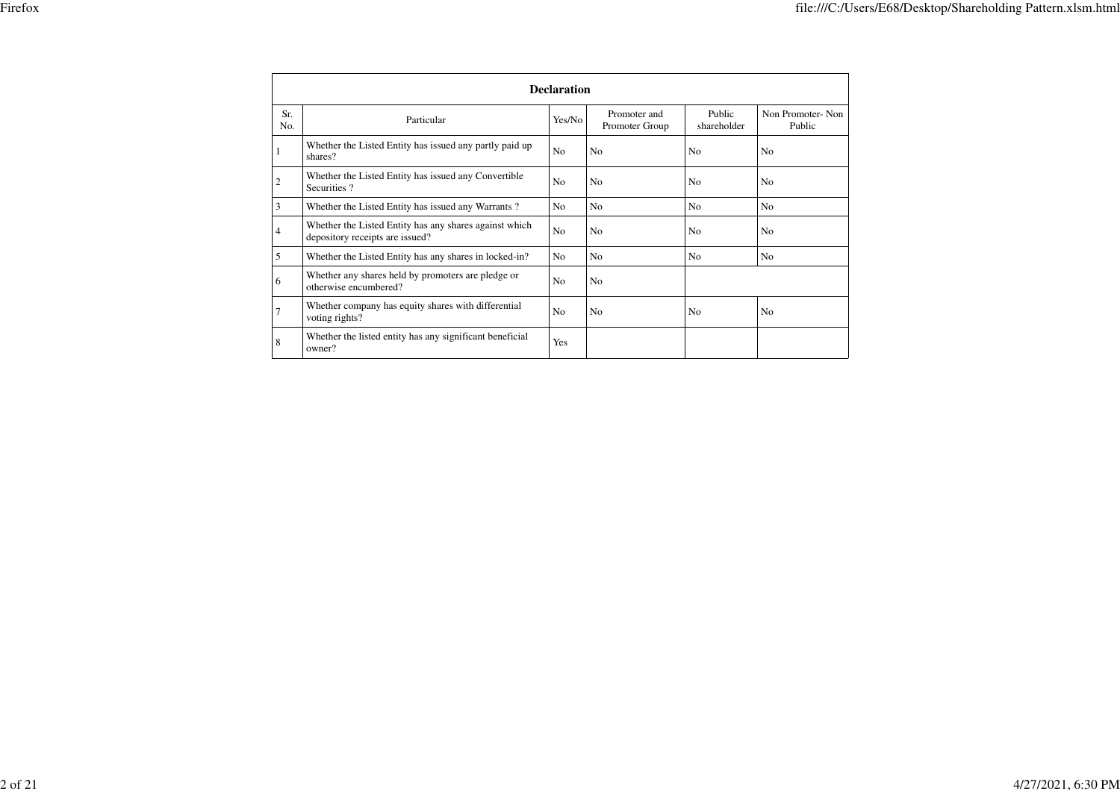|                | <b>Declaration</b>                                                                                                                                                     |                |                                |                       |                            |  |  |  |  |  |
|----------------|------------------------------------------------------------------------------------------------------------------------------------------------------------------------|----------------|--------------------------------|-----------------------|----------------------------|--|--|--|--|--|
| Sr.<br>No.     | Particular                                                                                                                                                             | Yes/No         | Promoter and<br>Promoter Group | Public<br>shareholder | Non Promoter-Non<br>Public |  |  |  |  |  |
| 1              | Whether the Listed Entity has issued any partly paid up<br>shares?                                                                                                     | N <sub>0</sub> | N <sub>o</sub>                 | N <sub>0</sub>        | N <sub>0</sub>             |  |  |  |  |  |
| $\overline{c}$ | Whether the Listed Entity has issued any Convertible<br>Securities?<br>3<br>Whether the Listed Entity has issued any Warrants?                                         |                | N <sub>0</sub>                 | N <sub>0</sub>        | N <sub>0</sub>             |  |  |  |  |  |
|                |                                                                                                                                                                        |                | N <sub>0</sub>                 | N <sub>o</sub>        | N <sub>o</sub>             |  |  |  |  |  |
| 4              | Whether the Listed Entity has any shares against which<br>depository receipts are issued?                                                                              | N <sub>0</sub> | N <sub>0</sub>                 | N <sub>0</sub>        | N <sub>o</sub>             |  |  |  |  |  |
| 5              | Whether the Listed Entity has any shares in locked-in?                                                                                                                 | N <sub>o</sub> | N <sub>0</sub>                 | N <sub>0</sub>        | N <sub>o</sub>             |  |  |  |  |  |
| 6              | Whether any shares held by promoters are pledge or<br>otherwise encumbered?<br>Whether company has equity shares with differential<br>$\overline{7}$<br>voting rights? |                | N <sub>o</sub>                 |                       |                            |  |  |  |  |  |
|                |                                                                                                                                                                        |                | N <sub>0</sub>                 | N <sub>0</sub>        | N <sub>0</sub>             |  |  |  |  |  |
| 8              | Whether the listed entity has any significant beneficial<br>owner?                                                                                                     | <b>Yes</b>     |                                |                       |                            |  |  |  |  |  |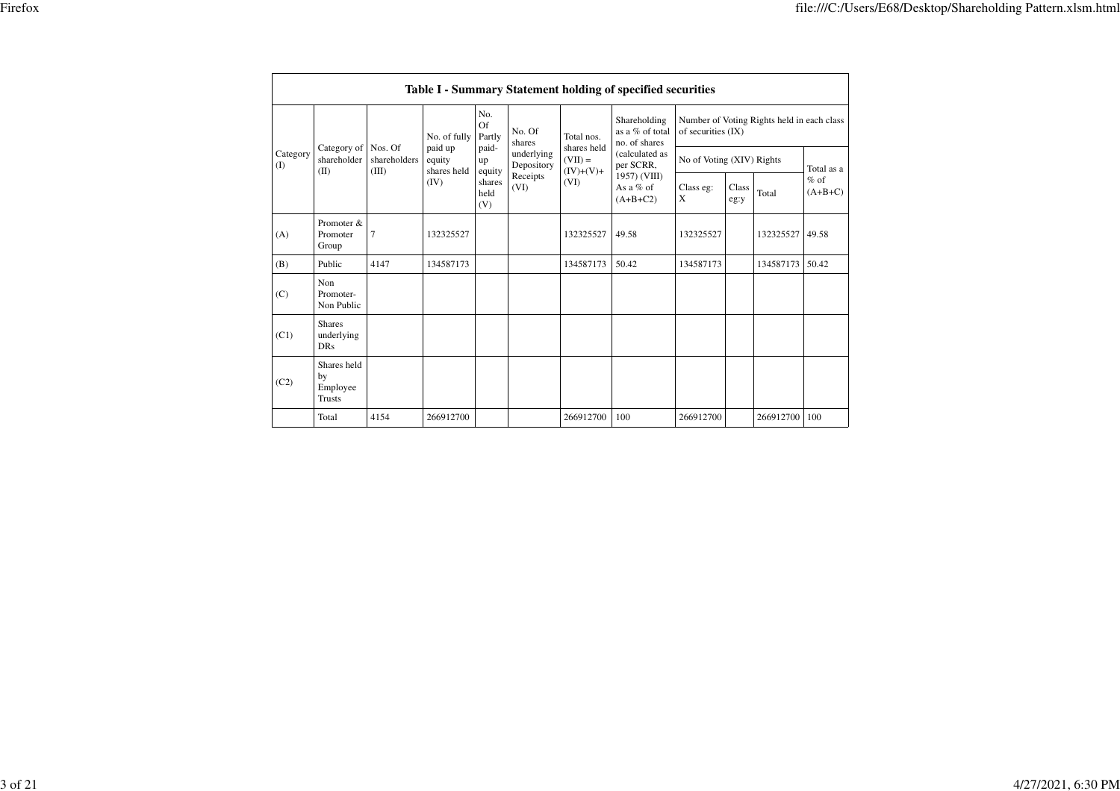|  |                 |                                                |                                              |                                                          |                                                |                                              |                                         | Table I - Summary Statement holding of specified securities |                                                                  |               |           |                     |
|--|-----------------|------------------------------------------------|----------------------------------------------|----------------------------------------------------------|------------------------------------------------|----------------------------------------------|-----------------------------------------|-------------------------------------------------------------|------------------------------------------------------------------|---------------|-----------|---------------------|
|  | Category<br>(1) | shareholder<br>(II)                            | Category of Nos. Of<br>shareholders<br>(III) | No. of fully<br>paid up<br>equity<br>shares held<br>(IV) | No.<br>Of<br>Partly                            | No. Of<br>shares                             | Total nos.                              | Shareholding<br>as a % of total<br>no. of shares            | Number of Voting Rights held in each class<br>of securities (IX) |               |           |                     |
|  |                 |                                                |                                              |                                                          | paid-<br>up<br>equity<br>shares<br>held<br>(V) | underlying<br>Depository<br>Receipts<br>(VI) | shares held<br>$(VII) =$<br>$(IV)+(V)+$ | (calculated as<br>per SCRR.                                 | No of Voting (XIV) Rights                                        |               |           | Total as a          |
|  |                 |                                                |                                              |                                                          |                                                |                                              | (VI)                                    | 1957) (VIII)<br>As a $%$ of<br>$(A+B+C2)$                   | Class eg:<br>X                                                   | Class<br>eg:y | Total     | $%$ of<br>$(A+B+C)$ |
|  | (A)             | Promoter &<br>Promoter<br>Group                | $\overline{7}$                               | 132325527                                                |                                                |                                              | 132325527                               | 49.58                                                       | 132325527                                                        |               | 132325527 | 49.58               |
|  | (B)             | Public                                         | 4147                                         | 134587173                                                |                                                |                                              | 134587173                               | 50.42                                                       | 134587173                                                        |               | 134587173 | 50.42               |
|  | (C)             | Non<br>Promoter-<br>Non Public                 |                                              |                                                          |                                                |                                              |                                         |                                                             |                                                                  |               |           |                     |
|  | (C1)            | <b>Shares</b><br>underlying<br><b>DRs</b>      |                                              |                                                          |                                                |                                              |                                         |                                                             |                                                                  |               |           |                     |
|  | (C2)            | Shares held<br>by<br>Employee<br><b>Trusts</b> |                                              |                                                          |                                                |                                              |                                         |                                                             |                                                                  |               |           |                     |
|  |                 | Total                                          | 4154                                         | 266912700                                                |                                                |                                              | 266912700                               | 100                                                         | 266912700                                                        |               | 266912700 | 100                 |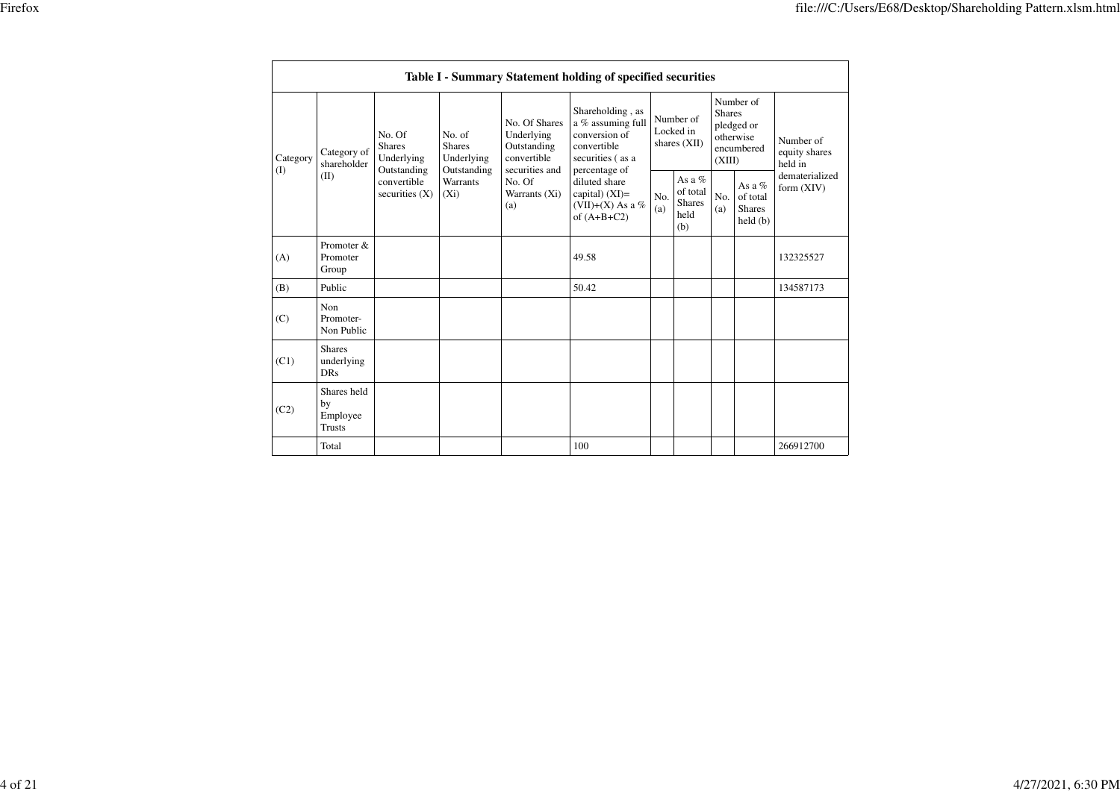|                 |                                                |                                       |                            |                                                      | Table I - Summary Statement holding of specified securities                 |                                                                                                            |                                                      |                                          |                                                  |                                                                               |                                       |  |
|-----------------|------------------------------------------------|---------------------------------------|----------------------------|------------------------------------------------------|-----------------------------------------------------------------------------|------------------------------------------------------------------------------------------------------------|------------------------------------------------------|------------------------------------------|--------------------------------------------------|-------------------------------------------------------------------------------|---------------------------------------|--|
| Category<br>(I) | Category of<br>shareholder<br>(II)             | No. Of<br><b>Shares</b><br>Underlying | Outstanding                | No. of<br><b>Shares</b><br>Underlying<br>Outstanding | No. Of Shares<br>Underlying<br>Outstanding<br>convertible<br>securities and | Shareholding, as<br>a % assuming full<br>conversion of<br>convertible<br>securities (as a<br>percentage of |                                                      | Number of<br>Locked in<br>shares $(XII)$ |                                                  | Number of<br><b>Shares</b><br>pledged or<br>otherwise<br>encumbered<br>(XIII) | Number of<br>equity shares<br>held in |  |
|                 |                                                | convertible<br>securities $(X)$       | <b>Warrants</b><br>$(X_i)$ | No. Of<br>Warrants (Xi)<br>(a)                       | diluted share<br>capital) $(XI)$ =<br>(VII)+(X) As a %<br>of $(A+B+C2)$     | No.<br>(a)                                                                                                 | As a $%$<br>of total<br><b>Shares</b><br>held<br>(b) | No.<br>(a)                               | As a $%$<br>of total<br><b>Shares</b><br>held(b) | dematerialized<br>form $(XIV)$                                                |                                       |  |
| (A)             | Promoter &<br>Promoter<br>Group                |                                       |                            |                                                      | 49.58                                                                       |                                                                                                            |                                                      |                                          |                                                  | 132325527                                                                     |                                       |  |
| (B)             | Public                                         |                                       |                            |                                                      | 50.42                                                                       |                                                                                                            |                                                      |                                          |                                                  | 134587173                                                                     |                                       |  |
| (C)             | Non<br>Promoter-<br>Non Public                 |                                       |                            |                                                      |                                                                             |                                                                                                            |                                                      |                                          |                                                  |                                                                               |                                       |  |
| (C1)            | <b>Shares</b><br>underlying<br><b>DRs</b>      |                                       |                            |                                                      |                                                                             |                                                                                                            |                                                      |                                          |                                                  |                                                                               |                                       |  |
| (C2)            | Shares held<br>by<br>Employee<br><b>Trusts</b> |                                       |                            |                                                      |                                                                             |                                                                                                            |                                                      |                                          |                                                  |                                                                               |                                       |  |
|                 | Total                                          |                                       |                            |                                                      | 100                                                                         |                                                                                                            |                                                      |                                          |                                                  | 266912700                                                                     |                                       |  |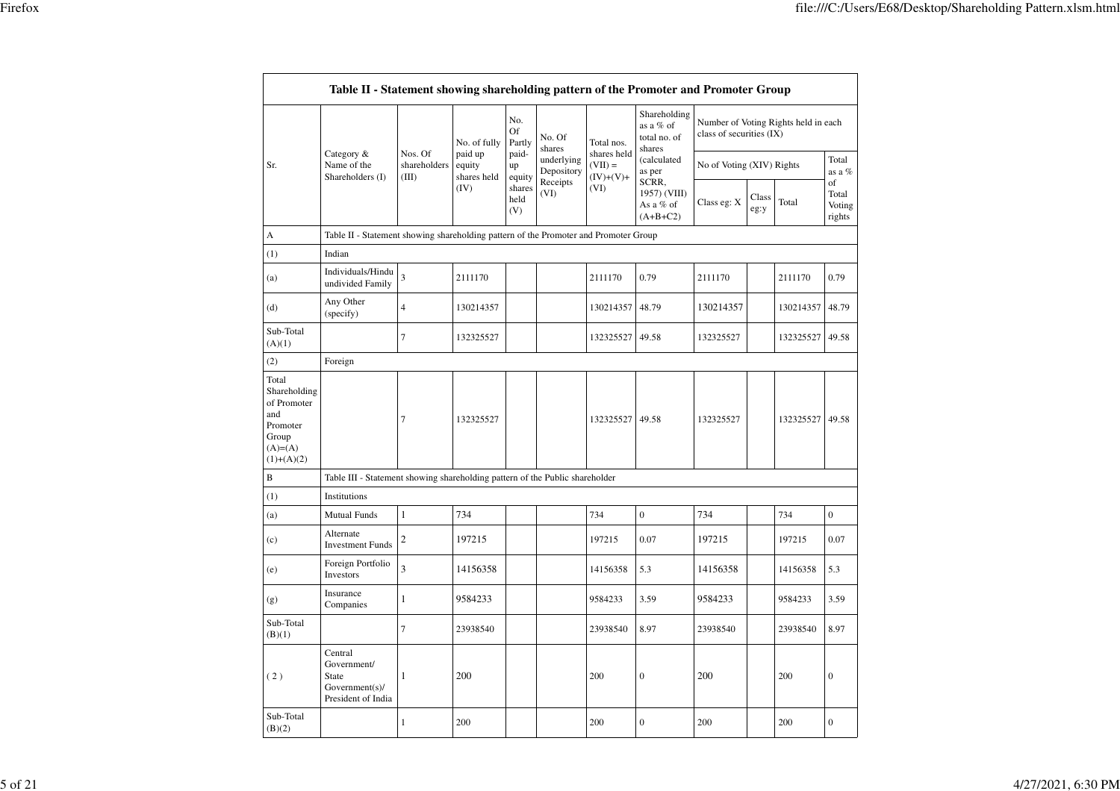| ۰.<br>× |  |
|---------|--|
|         |  |

|                                                                                                | Table II - Statement showing shareholding pattern of the Promoter and Promoter Group |                                  |                                  |                       |                          |                                         |                                                     |                           |               |                                      |                                 |
|------------------------------------------------------------------------------------------------|--------------------------------------------------------------------------------------|----------------------------------|----------------------------------|-----------------------|--------------------------|-----------------------------------------|-----------------------------------------------------|---------------------------|---------------|--------------------------------------|---------------------------------|
|                                                                                                |                                                                                      |                                  | No. of fully                     | No.<br>Of<br>Partly   | No. Of<br>shares         | Total nos.                              | Shareholding<br>as a % of<br>total no. of<br>shares | class of securities (IX)  |               | Number of Voting Rights held in each |                                 |
| Sr.                                                                                            | Category &<br>Name of the<br>Shareholders (I)                                        | Nos. Of<br>shareholders<br>(III) | paid up<br>equity<br>shares held | paid-<br>up<br>equity | underlying<br>Depository | shares held<br>$(VII) =$<br>$(IV)+(V)+$ | (calculated<br>as per                               | No of Voting (XIV) Rights |               |                                      | Total<br>as a %                 |
|                                                                                                |                                                                                      |                                  | (IV)                             | shares<br>held<br>(V) | Receipts<br>(VI)         | (VI)                                    | SCRR,<br>1957) (VIII)<br>As a % of<br>$(A+B+C2)$    | Class eg: X               | Class<br>eg:y | Total                                | of<br>Total<br>Voting<br>rights |
| А                                                                                              | Table II - Statement showing shareholding pattern of the Promoter and Promoter Group |                                  |                                  |                       |                          |                                         |                                                     |                           |               |                                      |                                 |
| (1)                                                                                            | Indian                                                                               |                                  |                                  |                       |                          |                                         |                                                     |                           |               |                                      |                                 |
| (a)                                                                                            | Individuals/Hindu<br>undivided Family                                                | 3                                | 2111170                          |                       |                          | 2111170                                 | 0.79                                                | 2111170                   |               | 2111170                              | 0.79                            |
| (d)                                                                                            | Any Other<br>(specify)                                                               | $\overline{4}$                   | 130214357                        |                       |                          | 130214357                               | 48.79                                               | 130214357                 |               | 130214357 48.79                      |                                 |
| Sub-Total<br>(A)(1)                                                                            |                                                                                      | $\overline{7}$                   | 132325527                        |                       |                          | 132325527                               | 49.58                                               | 132325527                 |               | 132325527                            | 49.58                           |
| (2)                                                                                            | Foreign                                                                              |                                  |                                  |                       |                          |                                         |                                                     |                           |               |                                      |                                 |
| Total<br>Shareholding<br>of Promoter<br>and<br>Promoter<br>Group<br>$(A)= (A)$<br>$(1)+(A)(2)$ |                                                                                      | $\tau$                           | 132325527                        |                       |                          | 132325527                               | 49.58                                               | 132325527                 |               | 132325527                            | 49.58                           |
| B                                                                                              | Table III - Statement showing shareholding pattern of the Public shareholder         |                                  |                                  |                       |                          |                                         |                                                     |                           |               |                                      |                                 |
| (1)                                                                                            | Institutions                                                                         |                                  |                                  |                       |                          |                                         |                                                     |                           |               |                                      |                                 |
| (a)                                                                                            | <b>Mutual Funds</b>                                                                  | $\mathbf{1}$                     | 734                              |                       |                          | 734                                     | $\overline{0}$                                      | 734                       |               | 734                                  | $\mathbf{0}$                    |
| (c)                                                                                            | Alternate<br><b>Investment Funds</b>                                                 | $\mathbf{2}$                     | 197215                           |                       |                          | 197215                                  | 0.07                                                | 197215                    |               | 197215                               | 0.07                            |
| (e)                                                                                            | Foreign Portfolio<br>Investors                                                       | 3                                | 14156358                         |                       |                          | 14156358                                | 5.3                                                 | 14156358                  |               | 14156358                             | 5.3                             |
| (g)                                                                                            | Insurance<br>Companies                                                               | $\mathbf{1}$                     | 9584233                          |                       |                          | 9584233                                 | 3.59                                                | 9584233                   |               | 9584233                              | 3.59                            |
| Sub-Total<br>(B)(1)                                                                            |                                                                                      | $\tau$                           | 23938540                         |                       |                          | 23938540                                | 8.97                                                | 23938540                  |               | 23938540                             | 8.97                            |
| (2)                                                                                            | Central<br>Government/<br><b>State</b><br>Government(s)<br>President of India        | $\mathbf{1}$                     | 200                              |                       |                          | 200                                     | $\mathbf{0}$                                        | 200                       |               | 200                                  | $\mathbf{0}$                    |
| Sub-Total<br>(B)(2)                                                                            |                                                                                      | $\mathbf{1}$                     | 200                              |                       |                          | 200                                     | $\boldsymbol{0}$                                    | 200                       |               | 200                                  | $\boldsymbol{0}$                |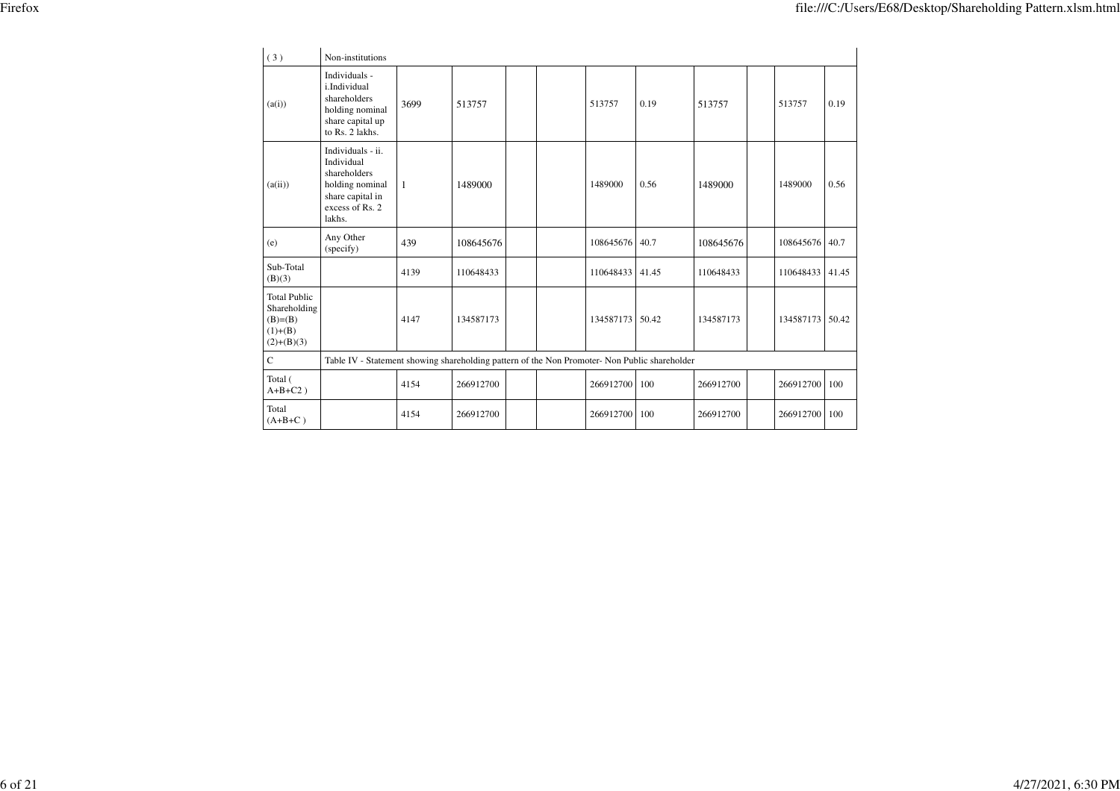| (3)                                                                          | Non-institutions                                                                                                    |                                                                                               |           |  |  |           |       |           |  |           |       |
|------------------------------------------------------------------------------|---------------------------------------------------------------------------------------------------------------------|-----------------------------------------------------------------------------------------------|-----------|--|--|-----------|-------|-----------|--|-----------|-------|
| (a(i))                                                                       | Individuals -<br>i.Individual<br>shareholders<br>holding nominal<br>share capital up<br>to Rs. 2 lakhs.             | 3699                                                                                          | 513757    |  |  | 513757    | 0.19  | 513757    |  | 513757    | 0.19  |
| (a(ii))                                                                      | Individuals - ii.<br>Individual<br>shareholders<br>holding nominal<br>share capital in<br>excess of Rs. 2<br>lakhs. | $\mathbf{1}$                                                                                  | 1489000   |  |  | 1489000   | 0.56  | 1489000   |  | 1489000   | 0.56  |
| (e)                                                                          | Any Other<br>(specify)                                                                                              | 439                                                                                           | 108645676 |  |  | 108645676 | 40.7  | 108645676 |  | 108645676 | 40.7  |
| Sub-Total<br>(B)(3)                                                          |                                                                                                                     | 4139                                                                                          | 110648433 |  |  | 110648433 | 41.45 | 110648433 |  | 110648433 | 41.45 |
| <b>Total Public</b><br>Shareholding<br>$(B)=B)$<br>$(1)+(B)$<br>$(2)+(B)(3)$ |                                                                                                                     | 4147                                                                                          | 134587173 |  |  | 134587173 | 50.42 | 134587173 |  | 134587173 | 50.42 |
| $\mathbf C$                                                                  |                                                                                                                     | Table IV - Statement showing shareholding pattern of the Non Promoter- Non Public shareholder |           |  |  |           |       |           |  |           |       |
| Total (<br>$A+B+C2$ )                                                        |                                                                                                                     | 4154                                                                                          | 266912700 |  |  | 266912700 | 100   | 266912700 |  | 266912700 | 100   |
| Total<br>$(A+B+C)$                                                           |                                                                                                                     | 4154                                                                                          | 266912700 |  |  | 266912700 | 100   | 266912700 |  | 266912700 | 100   |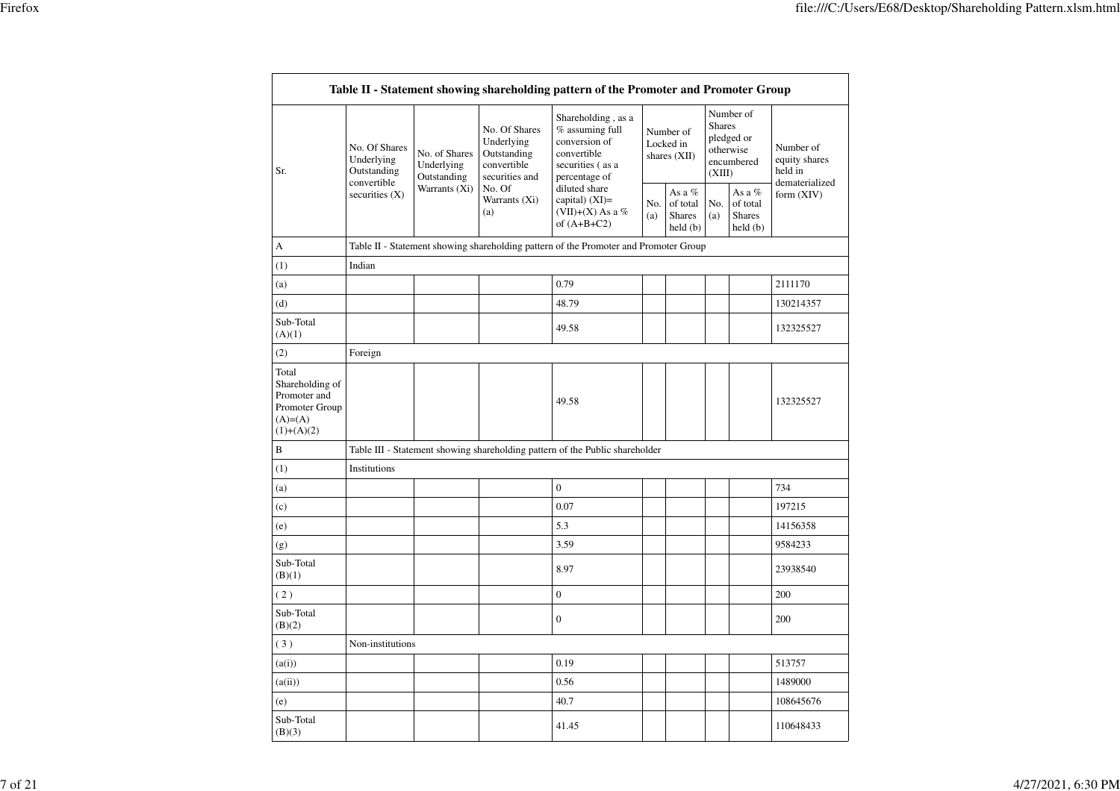|                                                                                          |                                                                     |                                            |                                                                             | Table II - Statement showing shareholding pattern of the Promoter and Promoter Group                         |                                                 |                                        |                                                |                                                    |                                                         |  |
|------------------------------------------------------------------------------------------|---------------------------------------------------------------------|--------------------------------------------|-----------------------------------------------------------------------------|--------------------------------------------------------------------------------------------------------------|-------------------------------------------------|----------------------------------------|------------------------------------------------|----------------------------------------------------|---------------------------------------------------------|--|
| Sr.                                                                                      | No. Of Shares<br>Underlying<br>Outstanding<br>convertible           | No. of Shares<br>Underlying<br>Outstanding | No. Of Shares<br>Underlying<br>Outstanding<br>convertible<br>securities and | Shareholding, as a<br>$%$ assuming full<br>conversion of<br>convertible<br>securities (as a<br>percentage of |                                                 | Number of<br>Locked in<br>shares (XII) | <b>Shares</b><br>(XIII)                        | Number of<br>pledged or<br>otherwise<br>encumbered | Number of<br>equity shares<br>held in<br>dematerialized |  |
|                                                                                          | Warrants (Xi)<br>No. Of<br>securities $(X)$<br>Warrants (Xi)<br>(a) |                                            | diluted share<br>capital) $(XI)$ =<br>(VII)+(X) As a %<br>of $(A+B+C2)$     | No.<br>(a)                                                                                                   | As a %<br>of total<br><b>Shares</b><br>held (b) | No.<br>(a)                             | As a %<br>of total<br><b>Shares</b><br>held(b) | form $(XIV)$                                       |                                                         |  |
| А                                                                                        |                                                                     |                                            |                                                                             | Table II - Statement showing shareholding pattern of the Promoter and Promoter Group                         |                                                 |                                        |                                                |                                                    |                                                         |  |
| (1)                                                                                      | Indian                                                              |                                            |                                                                             |                                                                                                              |                                                 |                                        |                                                |                                                    |                                                         |  |
| (a)                                                                                      |                                                                     |                                            |                                                                             | 0.79                                                                                                         |                                                 |                                        |                                                |                                                    | 2111170                                                 |  |
| (d)                                                                                      |                                                                     |                                            |                                                                             | 48.79                                                                                                        |                                                 |                                        |                                                |                                                    | 130214357                                               |  |
| Sub-Total<br>(A)(1)                                                                      |                                                                     |                                            |                                                                             | 49.58                                                                                                        |                                                 |                                        |                                                |                                                    | 132325527                                               |  |
| (2)                                                                                      | Foreign                                                             |                                            |                                                                             |                                                                                                              |                                                 |                                        |                                                |                                                    |                                                         |  |
| Total<br>Shareholding of<br>Promoter and<br>Promoter Group<br>$(A)= (A)$<br>$(1)+(A)(2)$ |                                                                     |                                            |                                                                             | 49.58                                                                                                        |                                                 |                                        |                                                |                                                    | 132325527                                               |  |
| B                                                                                        |                                                                     |                                            |                                                                             | Table III - Statement showing shareholding pattern of the Public shareholder                                 |                                                 |                                        |                                                |                                                    |                                                         |  |
| (1)                                                                                      | Institutions                                                        |                                            |                                                                             |                                                                                                              |                                                 |                                        |                                                |                                                    |                                                         |  |
| (a)                                                                                      |                                                                     |                                            |                                                                             | $\mathbf{0}$                                                                                                 |                                                 |                                        |                                                |                                                    | 734                                                     |  |
| (c)                                                                                      |                                                                     |                                            |                                                                             | 0.07                                                                                                         |                                                 |                                        |                                                |                                                    | 197215                                                  |  |
| (e)                                                                                      |                                                                     |                                            |                                                                             | 5.3                                                                                                          |                                                 |                                        |                                                |                                                    | 14156358                                                |  |
| (g)                                                                                      |                                                                     |                                            |                                                                             | 3.59                                                                                                         |                                                 |                                        |                                                |                                                    | 9584233                                                 |  |
| Sub-Total<br>(B)(1)                                                                      |                                                                     |                                            |                                                                             | 8.97                                                                                                         |                                                 |                                        |                                                |                                                    | 23938540                                                |  |
| (2)                                                                                      |                                                                     |                                            |                                                                             | $\boldsymbol{0}$                                                                                             |                                                 |                                        |                                                |                                                    | 200                                                     |  |
| Sub-Total<br>(B)(2)                                                                      |                                                                     |                                            |                                                                             | $\mathbf{0}$                                                                                                 |                                                 |                                        |                                                |                                                    | 200                                                     |  |
| (3)                                                                                      | Non-institutions                                                    |                                            |                                                                             |                                                                                                              |                                                 |                                        |                                                |                                                    |                                                         |  |
| (a(i))                                                                                   |                                                                     |                                            |                                                                             | 0.19                                                                                                         |                                                 |                                        |                                                |                                                    | 513757                                                  |  |
| (a(ii))                                                                                  |                                                                     |                                            |                                                                             | 0.56                                                                                                         |                                                 |                                        |                                                |                                                    | 1489000                                                 |  |
| (e)                                                                                      |                                                                     |                                            |                                                                             | 40.7                                                                                                         |                                                 |                                        |                                                |                                                    | 108645676                                               |  |
| Sub-Total<br>(B)(3)                                                                      |                                                                     |                                            |                                                                             | 41.45                                                                                                        |                                                 |                                        |                                                |                                                    | 110648433                                               |  |
|                                                                                          |                                                                     |                                            |                                                                             |                                                                                                              |                                                 |                                        |                                                |                                                    |                                                         |  |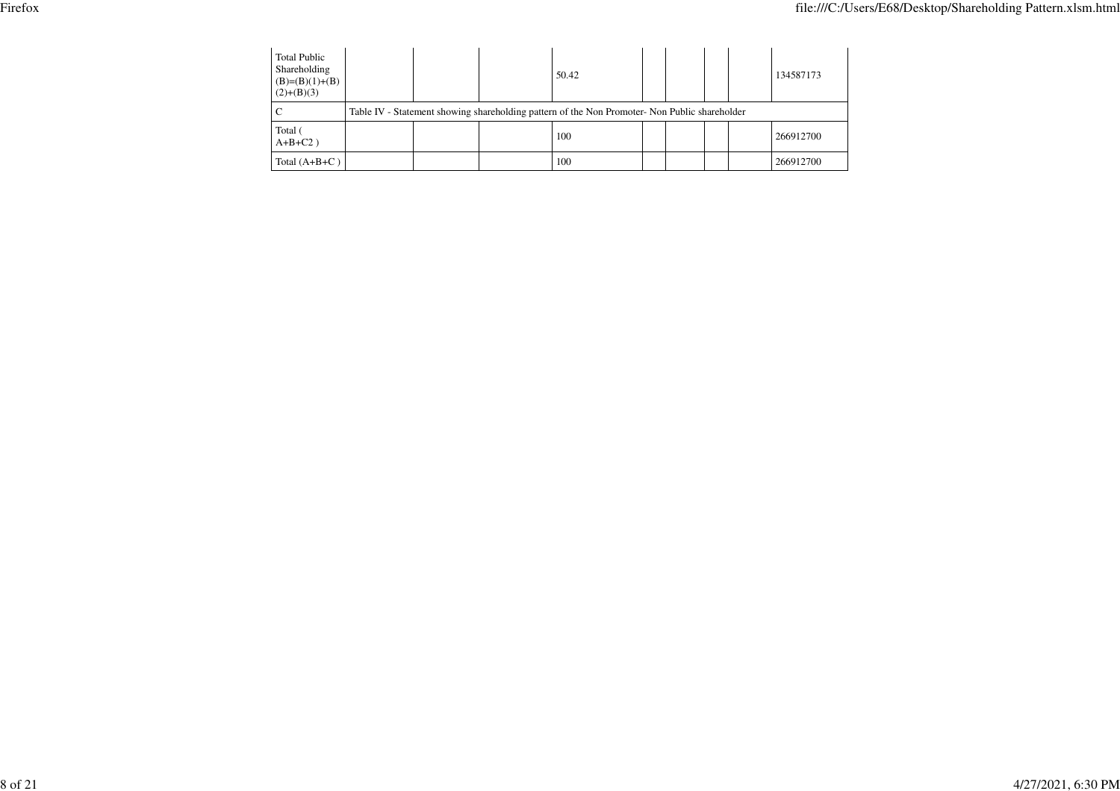| <b>Total Public</b><br>Shareholding<br>$(B)=(B)(1)+(B)$<br>$(2)+(B)(3)$ |                                                                                               |  | 50.42 |  |  |  |  | 134587173 |  |
|-------------------------------------------------------------------------|-----------------------------------------------------------------------------------------------|--|-------|--|--|--|--|-----------|--|
|                                                                         | Table IV - Statement showing shareholding pattern of the Non Promoter- Non Public shareholder |  |       |  |  |  |  |           |  |
| Total (<br>$A+B+C2$ )                                                   |                                                                                               |  | 100   |  |  |  |  | 266912700 |  |
| Total $(A+B+C)$                                                         |                                                                                               |  | 100   |  |  |  |  | 266912700 |  |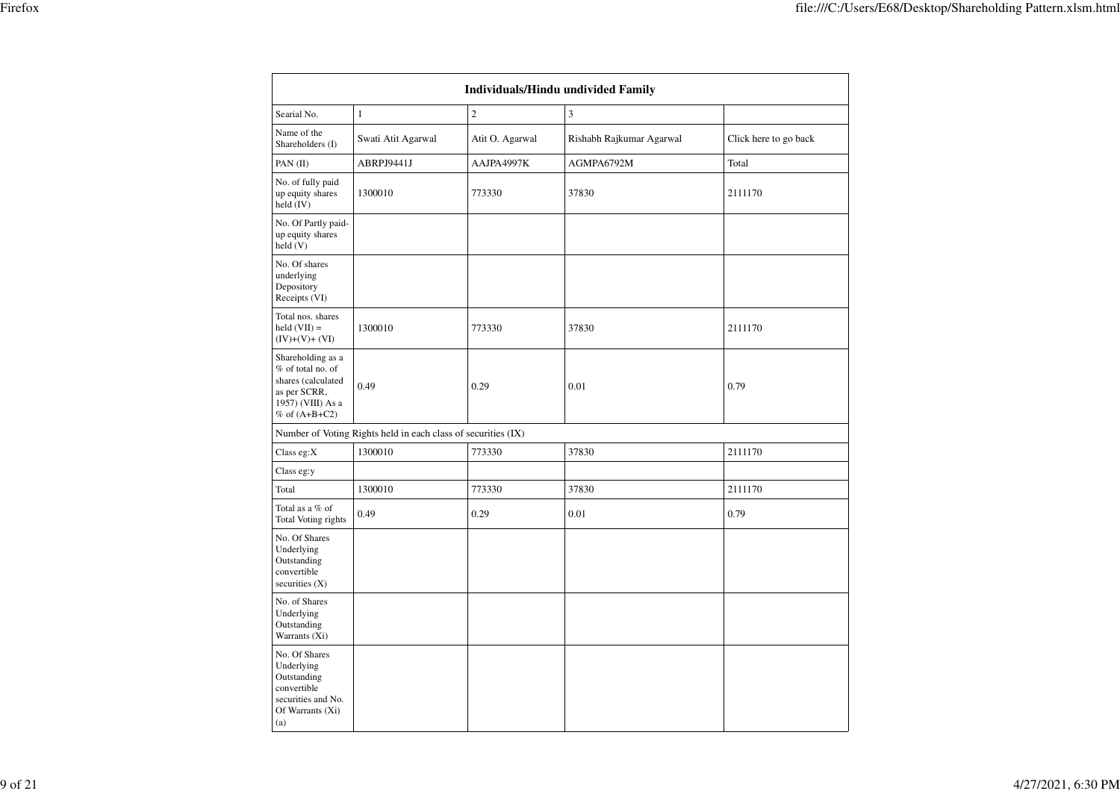|                                                                                                                          |                                                               |                 | <b>Individuals/Hindu undivided Family</b> |                       |
|--------------------------------------------------------------------------------------------------------------------------|---------------------------------------------------------------|-----------------|-------------------------------------------|-----------------------|
| Searial No.                                                                                                              | $\mathbf{1}$                                                  | $\overline{c}$  | 3                                         |                       |
| Name of the<br>Shareholders (I)                                                                                          | Swati Atit Agarwal                                            | Atit O. Agarwal | Rishabh Rajkumar Agarwal                  | Click here to go back |
| PAN (II)                                                                                                                 | ABRPJ9441J                                                    | AAJPA4997K      | AGMPA6792M                                | Total                 |
| No. of fully paid<br>up equity shares<br>held (IV)                                                                       | 1300010                                                       | 773330          | 37830                                     | 2111170               |
| No. Of Partly paid-<br>up equity shares<br>held (V)                                                                      |                                                               |                 |                                           |                       |
| No. Of shares<br>underlying<br>Depository<br>Receipts (VI)                                                               |                                                               |                 |                                           |                       |
| Total nos. shares<br>$\text{held}(\text{VII}) =$<br>$(IV)+(V)+(VI)$                                                      | 1300010                                                       | 773330          | 37830                                     | 2111170               |
| Shareholding as a<br>$%$ of total no. of<br>shares (calculated<br>as per SCRR,<br>1957) (VIII) As a<br>$%$ of $(A+B+C2)$ | 0.49                                                          | 0.29            | 0.01                                      | 0.79                  |
|                                                                                                                          | Number of Voting Rights held in each class of securities (IX) |                 |                                           |                       |
| Class eg: $X$                                                                                                            | 1300010                                                       | 773330          | 37830                                     | 2111170               |
| Class eg:y                                                                                                               |                                                               |                 |                                           |                       |
| Total                                                                                                                    | 1300010                                                       | 773330          | 37830                                     | 2111170               |
| Total as a % of<br>Total Voting rights                                                                                   | 0.49                                                          | 0.29            | 0.01                                      | 0.79                  |
| No. Of Shares<br>Underlying<br>Outstanding<br>convertible<br>securities $(X)$                                            |                                                               |                 |                                           |                       |
| No. of Shares<br>Underlying<br>Outstanding<br>Warrants (Xi)                                                              |                                                               |                 |                                           |                       |
| No. Of Shares<br>Underlying<br>Outstanding<br>convertible<br>securities and No.<br>Of Warrants (Xi)<br>(a)               |                                                               |                 |                                           |                       |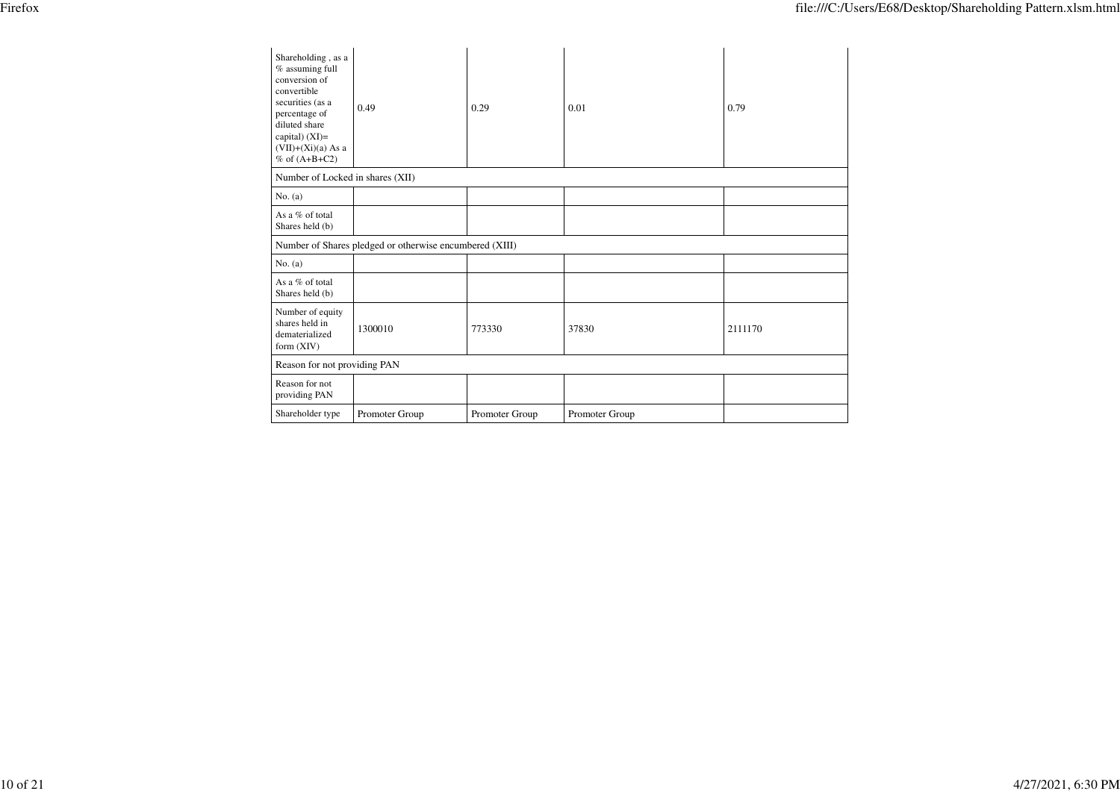| Shareholding, as a<br>% assuming full<br>conversion of<br>convertible<br>securities (as a<br>percentage of<br>diluted share<br>capital) $(XI)=$<br>$(VII)+(Xi)(a) As a$<br>$%$ of $(A+B+C2)$ | 0.49                                                    | 0.29           | 0.01           | 0.79    |
|----------------------------------------------------------------------------------------------------------------------------------------------------------------------------------------------|---------------------------------------------------------|----------------|----------------|---------|
| Number of Locked in shares (XII)                                                                                                                                                             |                                                         |                |                |         |
| No. (a)                                                                                                                                                                                      |                                                         |                |                |         |
| As a $%$ of total<br>Shares held (b)                                                                                                                                                         |                                                         |                |                |         |
|                                                                                                                                                                                              | Number of Shares pledged or otherwise encumbered (XIII) |                |                |         |
| No. $(a)$                                                                                                                                                                                    |                                                         |                |                |         |
| As a % of total<br>Shares held (b)                                                                                                                                                           |                                                         |                |                |         |
| Number of equity<br>shares held in<br>dematerialized<br>form $(XIV)$                                                                                                                         | 1300010                                                 | 773330         | 37830          | 2111170 |
| Reason for not providing PAN                                                                                                                                                                 |                                                         |                |                |         |
| Reason for not<br>providing PAN                                                                                                                                                              |                                                         |                |                |         |
| Shareholder type                                                                                                                                                                             | Promoter Group                                          | Promoter Group | Promoter Group |         |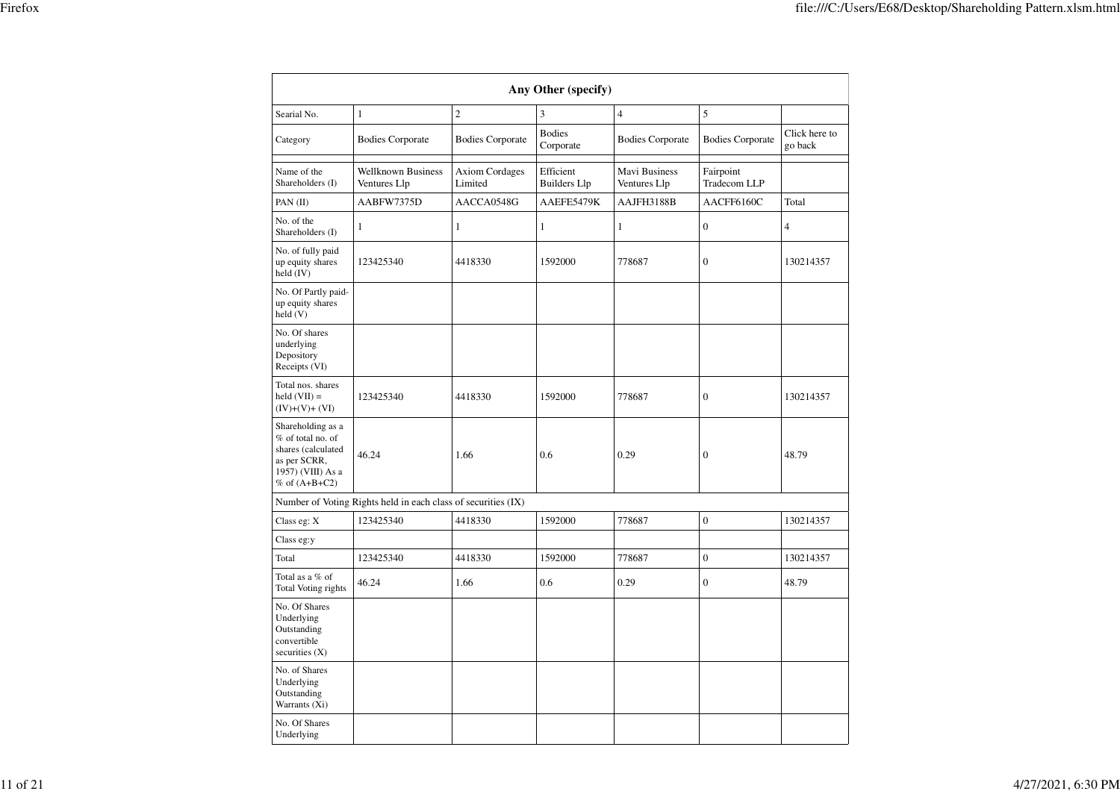|                                                                                                                        |                                                               |                                  | Any Other (specify)              |                               |                           |                          |
|------------------------------------------------------------------------------------------------------------------------|---------------------------------------------------------------|----------------------------------|----------------------------------|-------------------------------|---------------------------|--------------------------|
| Searial No.                                                                                                            | $\mathbf{1}$                                                  | $\overline{2}$                   | 3                                | $\overline{4}$                | 5                         |                          |
| Category                                                                                                               | <b>Bodies Corporate</b>                                       | <b>Bodies Corporate</b>          | <b>Bodies</b><br>Corporate       | <b>Bodies Corporate</b>       | <b>Bodies Corporate</b>   | Click here to<br>go back |
| Name of the<br>Shareholders (I)                                                                                        | <b>Wellknown Business</b><br>Ventures Llp                     | <b>Axiom Cordages</b><br>Limited | Efficient<br><b>Builders</b> Llp | Mavi Business<br>Ventures Llp | Fairpoint<br>Tradecom LLP |                          |
| PAN (II)                                                                                                               | AABFW7375D                                                    | AACCA0548G                       | AAEFE5479K                       | AAJFH3188B                    | AACFF6160C                | Total                    |
| No. of the<br>Shareholders (I)                                                                                         | $\mathbf{1}$                                                  | $\mathbf{1}$                     | $\mathbf{1}$                     | $\mathbf{1}$                  | $\boldsymbol{0}$          | 4                        |
| No. of fully paid<br>up equity shares<br>held (IV)                                                                     | 123425340                                                     | 4418330                          | 1592000                          | 778687                        | $\boldsymbol{0}$          | 130214357                |
| No. Of Partly paid-<br>up equity shares<br>held(V)                                                                     |                                                               |                                  |                                  |                               |                           |                          |
| No. Of shares<br>underlying<br>Depository<br>Receipts (VI)                                                             |                                                               |                                  |                                  |                               |                           |                          |
| Total nos. shares<br>held $(VII) =$<br>$(IV)+(V)+(VI)$                                                                 | 123425340                                                     | 4418330                          | 1592000                          | 778687                        | $\mathbf{0}$              | 130214357                |
| Shareholding as a<br>% of total no. of<br>shares (calculated<br>as per SCRR,<br>1957) (VIII) As a<br>$%$ of $(A+B+C2)$ | 46.24                                                         | 1.66                             | 0.6                              | 0.29                          | $\boldsymbol{0}$          | 48.79                    |
|                                                                                                                        | Number of Voting Rights held in each class of securities (IX) |                                  |                                  |                               |                           |                          |
| Class eg: X                                                                                                            | 123425340                                                     | 4418330                          | 1592000                          | 778687                        | $\boldsymbol{0}$          | 130214357                |
| Class eg:y                                                                                                             |                                                               |                                  |                                  |                               |                           |                          |
| Total                                                                                                                  | 123425340                                                     | 4418330                          | 1592000                          | 778687                        | $\boldsymbol{0}$          | 130214357                |
| Total as a % of<br><b>Total Voting rights</b>                                                                          | 46.24                                                         | 1.66                             | 0.6                              | 0.29                          | $\boldsymbol{0}$          | 48.79                    |
| No. Of Shares<br>Underlying<br>Outstanding<br>convertible<br>securities $(X)$                                          |                                                               |                                  |                                  |                               |                           |                          |
| No. of Shares<br>Underlying<br>Outstanding<br>Warrants (Xi)                                                            |                                                               |                                  |                                  |                               |                           |                          |
| No. Of Shares<br>Underlying                                                                                            |                                                               |                                  |                                  |                               |                           |                          |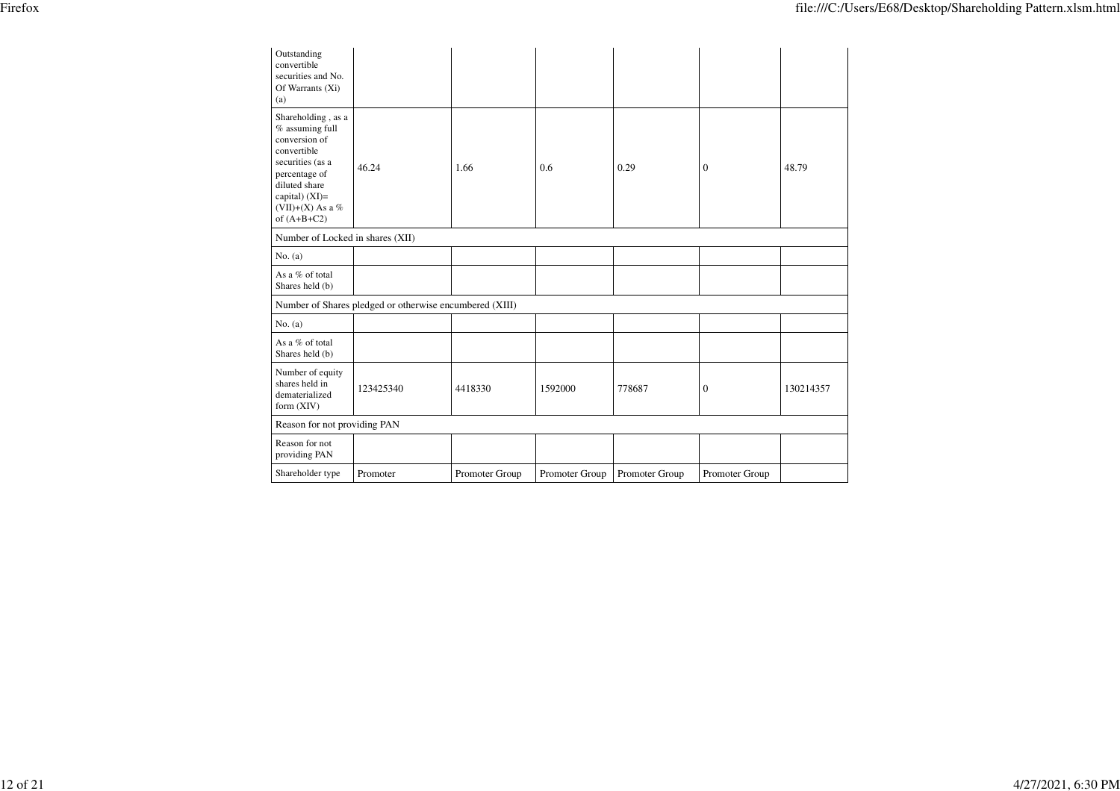| Outstanding<br>convertible<br>securities and No.<br>Of Warrants (Xi)<br>(a)                                                                                                        |                                                         |                |                |                |                |           |  |  |  |  |
|------------------------------------------------------------------------------------------------------------------------------------------------------------------------------------|---------------------------------------------------------|----------------|----------------|----------------|----------------|-----------|--|--|--|--|
| Shareholding, as a<br>% assuming full<br>conversion of<br>convertible<br>securities (as a<br>percentage of<br>diluted share<br>capital) (XI)=<br>(VII)+(X) As a %<br>of $(A+B+C2)$ | 46.24                                                   | 1.66           | 0.6            | 0.29           | $\Omega$       | 48.79     |  |  |  |  |
|                                                                                                                                                                                    | Number of Locked in shares (XII)                        |                |                |                |                |           |  |  |  |  |
| No. (a)                                                                                                                                                                            |                                                         |                |                |                |                |           |  |  |  |  |
| As a $%$ of total<br>Shares held (b)                                                                                                                                               |                                                         |                |                |                |                |           |  |  |  |  |
|                                                                                                                                                                                    | Number of Shares pledged or otherwise encumbered (XIII) |                |                |                |                |           |  |  |  |  |
| No. $(a)$                                                                                                                                                                          |                                                         |                |                |                |                |           |  |  |  |  |
| As a % of total<br>Shares held (b)                                                                                                                                                 |                                                         |                |                |                |                |           |  |  |  |  |
| Number of equity<br>shares held in<br>dematerialized<br>form $(XIV)$                                                                                                               | 123425340                                               | 4418330        | 1592000        | 778687         | $\mathbf{0}$   | 130214357 |  |  |  |  |
| Reason for not providing PAN                                                                                                                                                       |                                                         |                |                |                |                |           |  |  |  |  |
| Reason for not<br>providing PAN                                                                                                                                                    |                                                         |                |                |                |                |           |  |  |  |  |
| Shareholder type                                                                                                                                                                   | Promoter                                                | Promoter Group | Promoter Group | Promoter Group | Promoter Group |           |  |  |  |  |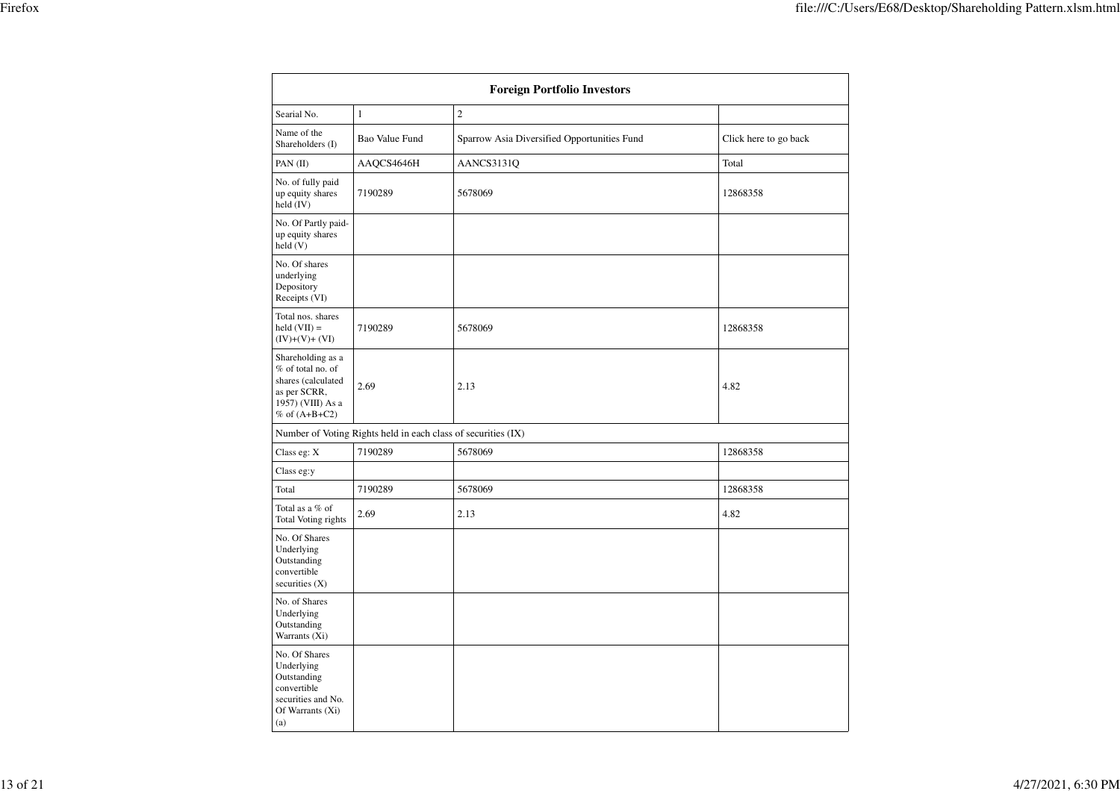| <b>Foreign Portfolio Investors</b>                                                                                     |                                                               |                                             |                       |  |  |  |  |  |  |
|------------------------------------------------------------------------------------------------------------------------|---------------------------------------------------------------|---------------------------------------------|-----------------------|--|--|--|--|--|--|
| Searial No.                                                                                                            | $\mathbf{1}$                                                  | $\overline{2}$                              |                       |  |  |  |  |  |  |
| Name of the<br>Shareholders (I)                                                                                        | Bao Value Fund                                                | Sparrow Asia Diversified Opportunities Fund | Click here to go back |  |  |  |  |  |  |
| PAN (II)                                                                                                               | AAQCS4646H                                                    | AANCS3131Q                                  | Total                 |  |  |  |  |  |  |
| No. of fully paid<br>up equity shares<br>held (IV)                                                                     | 7190289                                                       | 5678069                                     | 12868358              |  |  |  |  |  |  |
| No. Of Partly paid-<br>up equity shares<br>held (V)                                                                    |                                                               |                                             |                       |  |  |  |  |  |  |
| No. Of shares<br>underlying<br>Depository<br>Receipts (VI)                                                             |                                                               |                                             |                       |  |  |  |  |  |  |
| Total nos. shares<br>$held (VII) =$<br>$(IV)+(V)+(VI)$                                                                 | 7190289                                                       | 5678069                                     | 12868358              |  |  |  |  |  |  |
| Shareholding as a<br>% of total no. of<br>shares (calculated<br>as per SCRR,<br>1957) (VIII) As a<br>$%$ of $(A+B+C2)$ | 2.69                                                          | 2.13                                        | 4.82                  |  |  |  |  |  |  |
|                                                                                                                        | Number of Voting Rights held in each class of securities (IX) |                                             |                       |  |  |  |  |  |  |
| Class eg: X                                                                                                            | 7190289                                                       | 5678069                                     | 12868358              |  |  |  |  |  |  |
| Class eg:y                                                                                                             |                                                               |                                             |                       |  |  |  |  |  |  |
| Total                                                                                                                  | 7190289                                                       | 5678069                                     | 12868358              |  |  |  |  |  |  |
| Total as a % of<br>Total Voting rights                                                                                 | 2.69                                                          | 2.13                                        | 4.82                  |  |  |  |  |  |  |
| No. Of Shares<br>Underlying<br>Outstanding<br>convertible<br>securities $(X)$                                          |                                                               |                                             |                       |  |  |  |  |  |  |
| No. of Shares<br>Underlying<br>Outstanding<br>Warrants (Xi)                                                            |                                                               |                                             |                       |  |  |  |  |  |  |
| No. Of Shares<br>Underlying<br>Outstanding<br>convertible<br>securities and No.<br>Of Warrants (Xi)<br>(a)             |                                                               |                                             |                       |  |  |  |  |  |  |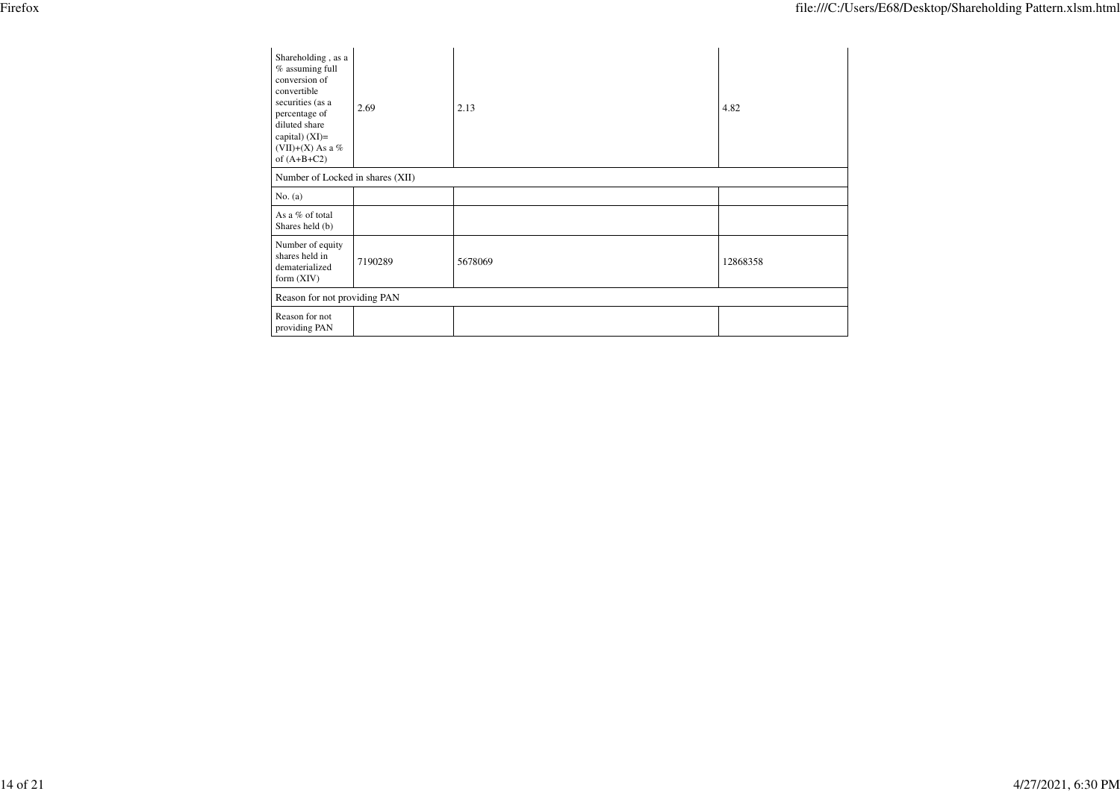| Shareholding, as a<br>% assuming full<br>conversion of<br>convertible<br>securities (as a |         |         |          |
|-------------------------------------------------------------------------------------------|---------|---------|----------|
| percentage of<br>diluted share<br>capital) $(XI)=$                                        | 2.69    | 2.13    | 4.82     |
| (VII)+(X) As a $%$<br>of $(A+B+C2)$                                                       |         |         |          |
| Number of Locked in shares (XII)                                                          |         |         |          |
| No. (a)                                                                                   |         |         |          |
| As a % of total<br>Shares held (b)                                                        |         |         |          |
| Number of equity<br>shares held in<br>dematerialized<br>form $(XIV)$                      | 7190289 | 5678069 | 12868358 |
| Reason for not providing PAN                                                              |         |         |          |
| Reason for not<br>providing PAN                                                           |         |         |          |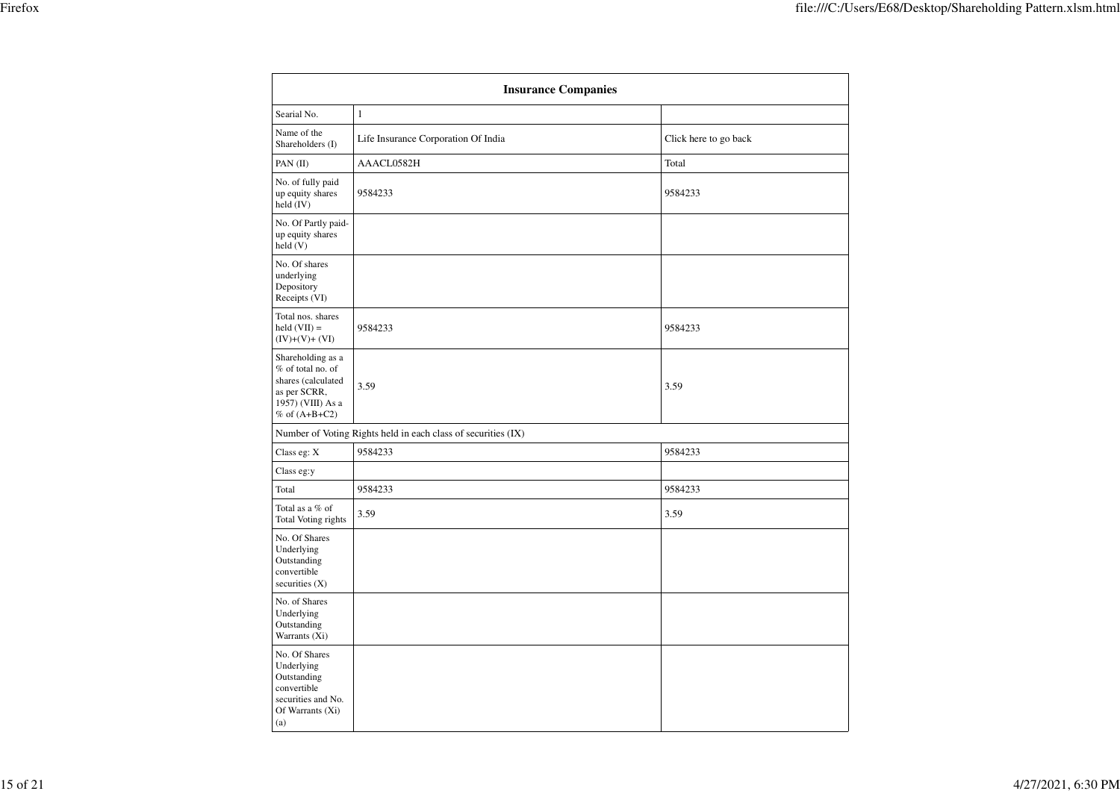|                                                                                                                         | <b>Insurance Companies</b>                                    |                       |
|-------------------------------------------------------------------------------------------------------------------------|---------------------------------------------------------------|-----------------------|
| Searial No.                                                                                                             | $\mathbf{1}$                                                  |                       |
| Name of the<br>Shareholders (I)                                                                                         | Life Insurance Corporation Of India                           | Click here to go back |
| PAN (II)                                                                                                                | AAACL0582H                                                    | Total                 |
| No. of fully paid<br>up equity shares<br>held $(IV)$                                                                    | 9584233                                                       | 9584233               |
| No. Of Partly paid-<br>up equity shares<br>held (V)                                                                     |                                                               |                       |
| No. Of shares<br>underlying<br>Depository<br>Receipts (VI)                                                              |                                                               |                       |
| Total nos. shares<br>$held (VII) =$<br>$(IV)+(V)+(VI)$                                                                  | 9584233                                                       | 9584233               |
| Shareholding as a<br>% of total no. of<br>shares (calculated<br>as per SCRR,<br>1957) (VIII) As a<br>$\%$ of $(A+B+C2)$ | 3.59                                                          | 3.59                  |
|                                                                                                                         | Number of Voting Rights held in each class of securities (IX) |                       |
| Class eg: X                                                                                                             | 9584233                                                       | 9584233               |
| Class eg:y                                                                                                              |                                                               |                       |
| Total                                                                                                                   | 9584233                                                       | 9584233               |
| Total as a % of<br>Total Voting rights                                                                                  | 3.59                                                          | 3.59                  |
| No. Of Shares<br>Underlying<br>Outstanding<br>convertible<br>securities $(X)$                                           |                                                               |                       |
| No. of Shares<br>Underlying<br>Outstanding<br>Warrants (Xi)                                                             |                                                               |                       |
| No. Of Shares<br>Underlying<br>Outstanding<br>convertible<br>securities and No.<br>Of Warrants (Xi)<br>(a)              |                                                               |                       |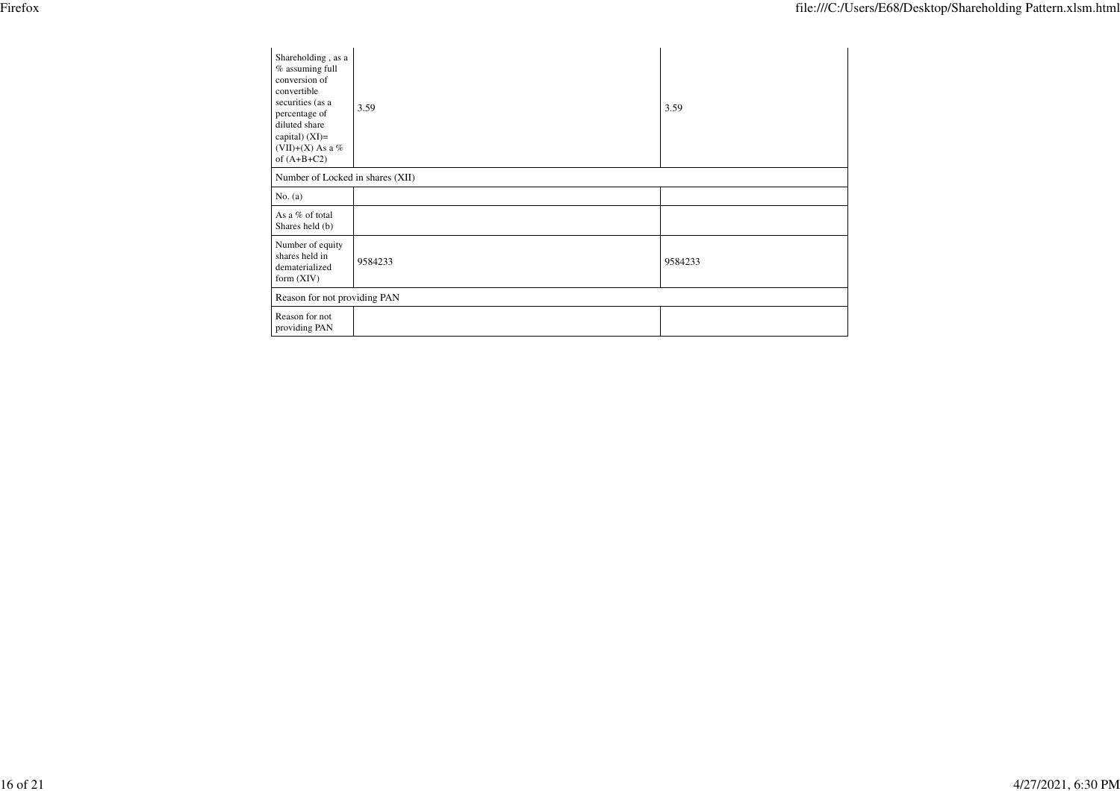| Shareholding, as a<br>$%$ assuming full<br>conversion of<br>convertible<br>securities (as a<br>percentage of<br>diluted share<br>capital) $(XI)=$<br>(VII)+(X) As a $%$<br>of $(A+B+C2)$<br>Number of Locked in shares (XII) | 3.59    | 3.59    |
|------------------------------------------------------------------------------------------------------------------------------------------------------------------------------------------------------------------------------|---------|---------|
|                                                                                                                                                                                                                              |         |         |
| No. $(a)$                                                                                                                                                                                                                    |         |         |
| As a % of total<br>Shares held (b)                                                                                                                                                                                           |         |         |
| Number of equity<br>shares held in<br>dematerialized<br>form $(XIV)$                                                                                                                                                         | 9584233 | 9584233 |
| Reason for not providing PAN                                                                                                                                                                                                 |         |         |
| Reason for not<br>providing PAN                                                                                                                                                                                              |         |         |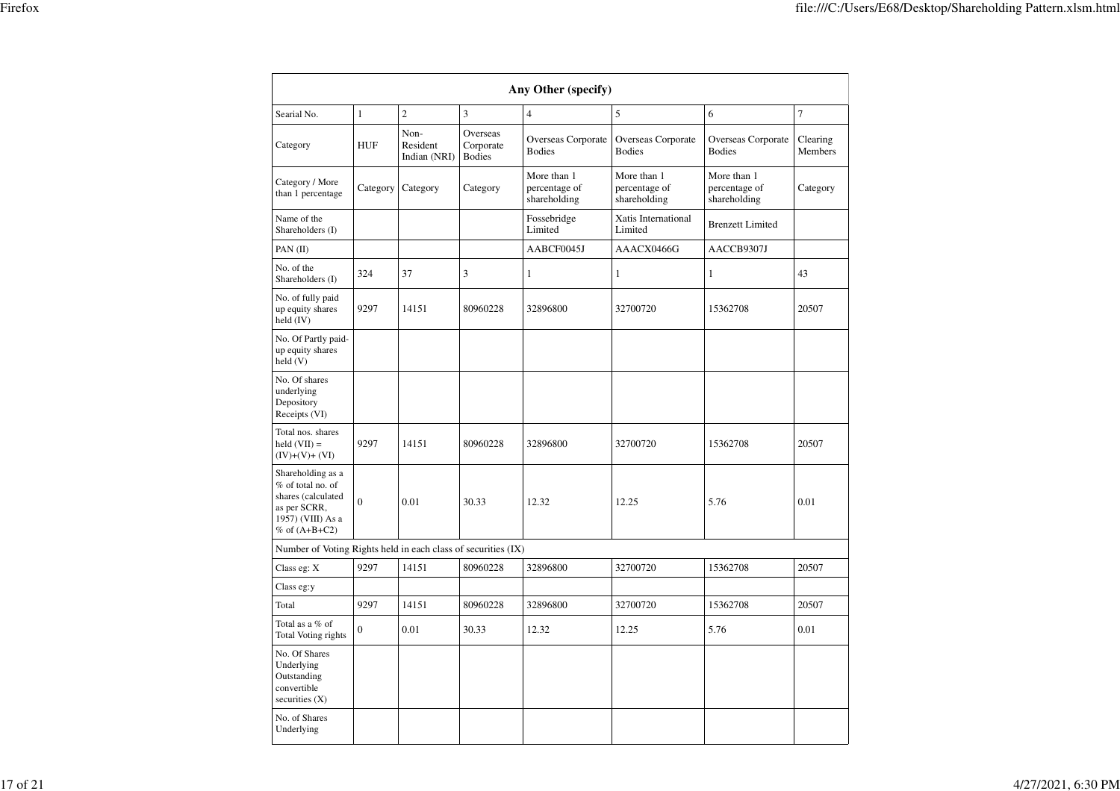|                                                                                                                      | Any Other (specify) |                                  |                                        |                                              |                                              |                                              |                     |  |  |  |  |
|----------------------------------------------------------------------------------------------------------------------|---------------------|----------------------------------|----------------------------------------|----------------------------------------------|----------------------------------------------|----------------------------------------------|---------------------|--|--|--|--|
|                                                                                                                      |                     |                                  |                                        |                                              |                                              |                                              |                     |  |  |  |  |
| Searial No.                                                                                                          | $\mathbf{1}$        | $\overline{c}$                   | 3                                      | $\overline{\mathbf{4}}$                      | 5                                            | 6                                            | $\overline{7}$      |  |  |  |  |
| Category                                                                                                             | <b>HUF</b>          | Non-<br>Resident<br>Indian (NRI) | Overseas<br>Corporate<br><b>Bodies</b> | Overseas Corporate<br><b>Bodies</b>          | Overseas Corporate<br><b>Bodies</b>          | Overseas Corporate<br><b>Bodies</b>          | Clearing<br>Members |  |  |  |  |
| Category / More<br>than 1 percentage                                                                                 | Category            | Category                         | Category                               | More than 1<br>percentage of<br>shareholding | More than 1<br>percentage of<br>shareholding | More than 1<br>percentage of<br>shareholding | Category            |  |  |  |  |
| Name of the<br>Shareholders (I)                                                                                      |                     |                                  |                                        | Fossebridge<br>Limited                       | Xatis International<br>Limited               | <b>Brenzett Limited</b>                      |                     |  |  |  |  |
| PAN $(II)$                                                                                                           |                     |                                  |                                        | AABCF0045J                                   | AAACX0466G                                   | AACCB9307J                                   |                     |  |  |  |  |
| No. of the<br>Shareholders (I)                                                                                       | 324                 | 37                               | 3                                      | 1<br>1                                       |                                              | 1                                            | 43                  |  |  |  |  |
| No. of fully paid<br>up equity shares<br>held $(IV)$                                                                 | 9297                | 14151                            | 80960228                               | 32896800                                     | 32700720                                     | 15362708                                     | 20507               |  |  |  |  |
| No. Of Partly paid-<br>up equity shares<br>held (V)                                                                  |                     |                                  |                                        |                                              |                                              |                                              |                     |  |  |  |  |
| No. Of shares<br>underlying<br>Depository<br>Receipts (VI)                                                           |                     |                                  |                                        |                                              |                                              |                                              |                     |  |  |  |  |
| Total nos. shares<br>held $(VII) =$<br>$(IV)+(V)+(VI)$                                                               | 9297                | 14151                            | 80960228                               | 32896800                                     | 32700720                                     | 15362708                                     | 20507               |  |  |  |  |
| Shareholding as a<br>% of total no. of<br>shares (calculated<br>as per SCRR,<br>1957) (VIII) As a<br>% of $(A+B+C2)$ | $\Omega$            | 0.01<br>30.33<br>12.32           |                                        | 12.25                                        | 5.76                                         | 0.01                                         |                     |  |  |  |  |
| Number of Voting Rights held in each class of securities (IX)                                                        |                     |                                  |                                        |                                              |                                              |                                              |                     |  |  |  |  |
| Class eg: X                                                                                                          | 9297                | 14151                            | 80960228                               | 32896800                                     | 32700720                                     | 15362708                                     | 20507               |  |  |  |  |
| Class eg:y                                                                                                           |                     |                                  |                                        |                                              |                                              |                                              |                     |  |  |  |  |
| Total                                                                                                                | 9297                | 14151                            | 80960228                               | 32896800                                     | 32700720                                     | 15362708                                     | 20507               |  |  |  |  |
| Total as a % of<br>Total Voting rights                                                                               | $\overline{0}$      | 0.01                             | 30.33                                  | 12.32                                        | 12.25                                        | 5.76                                         | 0.01                |  |  |  |  |
| No. Of Shares<br>Underlying<br>Outstanding<br>convertible<br>securities $(X)$                                        |                     |                                  |                                        |                                              |                                              |                                              |                     |  |  |  |  |
| No. of Shares<br>Underlying                                                                                          |                     |                                  |                                        |                                              |                                              |                                              |                     |  |  |  |  |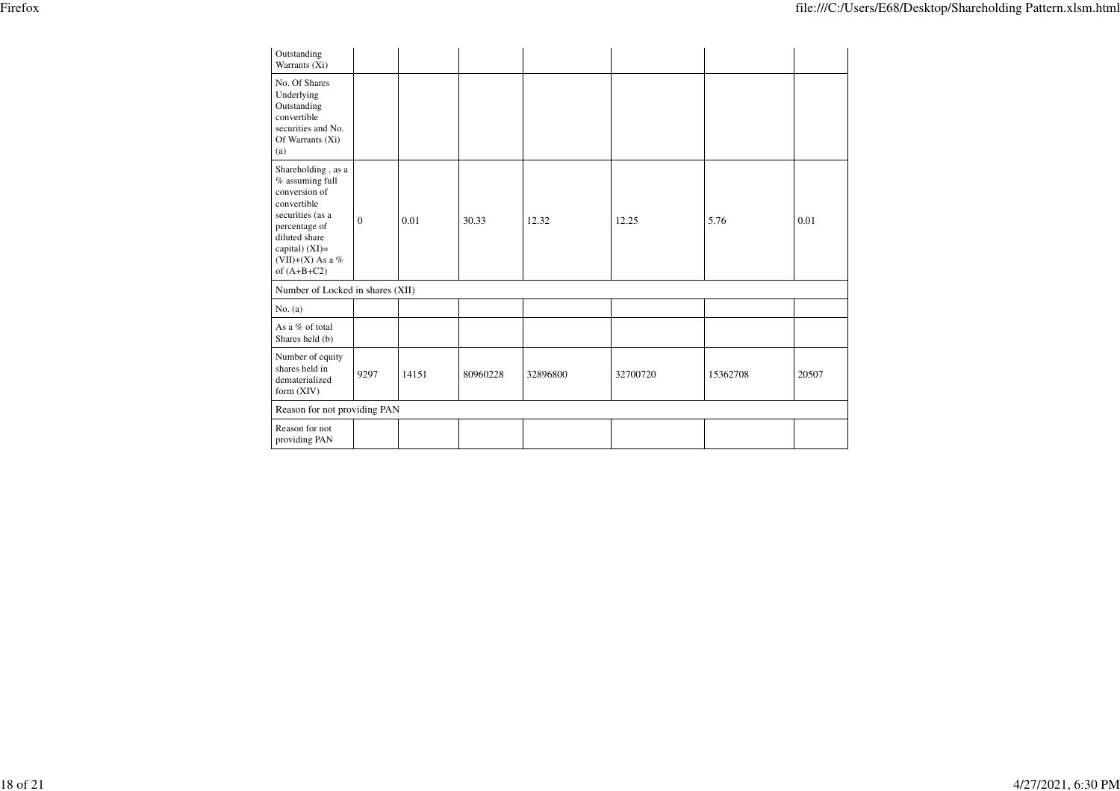| Outstanding<br>Warrants (Xi)                                                                                                                                                           |              |       |          |          |          |          |       |
|----------------------------------------------------------------------------------------------------------------------------------------------------------------------------------------|--------------|-------|----------|----------|----------|----------|-------|
| No. Of Shares<br>Underlying<br>Outstanding<br>convertible<br>securities and No.<br>Of Warrants (Xi)<br>(a)                                                                             |              |       |          |          |          |          |       |
| Shareholding, as a<br>% assuming full<br>conversion of<br>convertible<br>securities (as a<br>percentage of<br>diluted share<br>capital) $(XI)=$<br>(VII)+(X) As a $%$<br>of $(A+B+C2)$ | $\mathbf{0}$ | 0.01  | 30.33    | 12.32    | 12.25    | 5.76     | 0.01  |
| Number of Locked in shares (XII)                                                                                                                                                       |              |       |          |          |          |          |       |
| No. $(a)$                                                                                                                                                                              |              |       |          |          |          |          |       |
| As a % of total<br>Shares held (b)                                                                                                                                                     |              |       |          |          |          |          |       |
| Number of equity<br>shares held in<br>dematerialized<br>form $(XIV)$                                                                                                                   | 9297         | 14151 | 80960228 | 32896800 | 32700720 | 15362708 | 20507 |
| Reason for not providing PAN                                                                                                                                                           |              |       |          |          |          |          |       |
| Reason for not<br>providing PAN                                                                                                                                                        |              |       |          |          |          |          |       |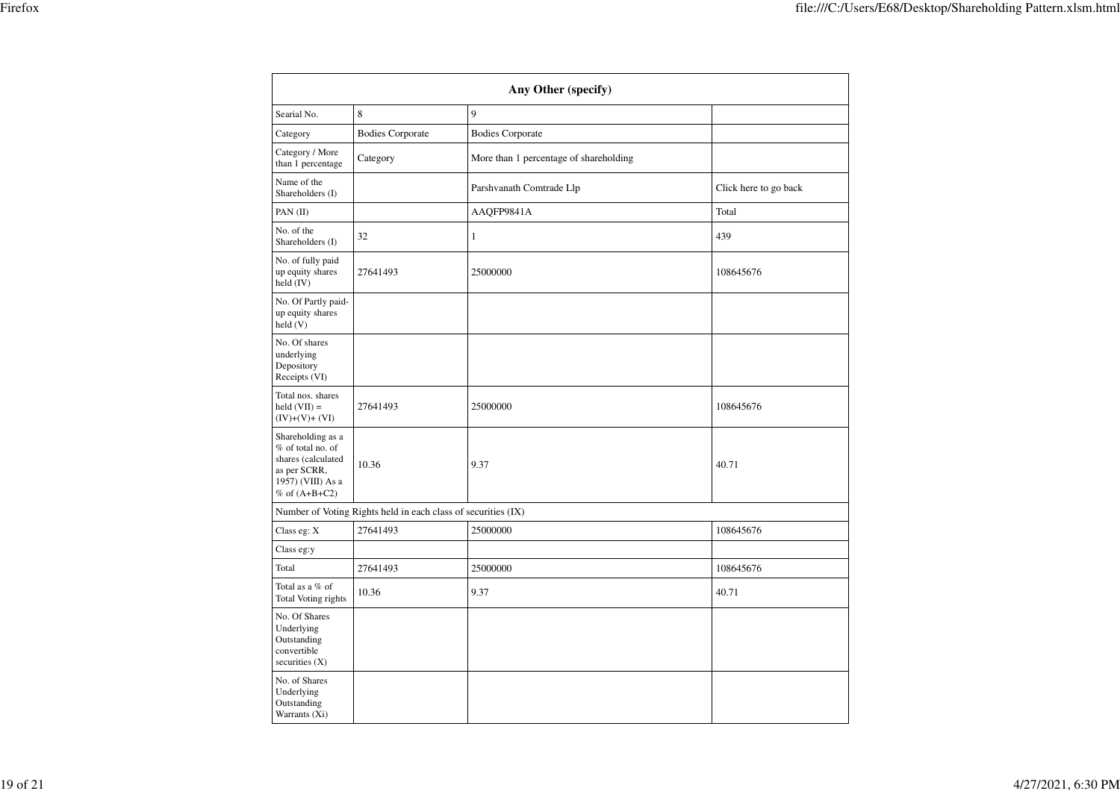|                                                                                                                        | Any Other (specify)                                           |                                        |                       |  |  |  |  |  |  |  |
|------------------------------------------------------------------------------------------------------------------------|---------------------------------------------------------------|----------------------------------------|-----------------------|--|--|--|--|--|--|--|
| Searial No.                                                                                                            | 8                                                             | $\mathbf{Q}$                           |                       |  |  |  |  |  |  |  |
| Category                                                                                                               | <b>Bodies Corporate</b>                                       | <b>Bodies Corporate</b>                |                       |  |  |  |  |  |  |  |
| Category / More<br>than 1 percentage                                                                                   | Category                                                      | More than 1 percentage of shareholding |                       |  |  |  |  |  |  |  |
| Name of the<br>Shareholders (I)                                                                                        |                                                               | Parshvanath Comtrade Llp               | Click here to go back |  |  |  |  |  |  |  |
| PAN (II)                                                                                                               |                                                               | AAQFP9841A                             | Total                 |  |  |  |  |  |  |  |
| No. of the<br>Shareholders (I)                                                                                         | 32                                                            | $\mathbf{1}$                           | 439                   |  |  |  |  |  |  |  |
| No. of fully paid<br>up equity shares<br>held (IV)                                                                     | 27641493                                                      | 25000000                               | 108645676             |  |  |  |  |  |  |  |
| No. Of Partly paid-<br>up equity shares<br>held(V)                                                                     |                                                               |                                        |                       |  |  |  |  |  |  |  |
| No. Of shares<br>underlying<br>Depository<br>Receipts (VI)                                                             |                                                               |                                        |                       |  |  |  |  |  |  |  |
| Total nos. shares<br>$held (VII) =$<br>$(IV)+(V)+(VI)$                                                                 | 27641493                                                      | 25000000                               | 108645676             |  |  |  |  |  |  |  |
| Shareholding as a<br>% of total no. of<br>shares (calculated<br>as per SCRR,<br>1957) (VIII) As a<br>$%$ of $(A+B+C2)$ | 10.36                                                         | 9.37                                   | 40.71                 |  |  |  |  |  |  |  |
|                                                                                                                        | Number of Voting Rights held in each class of securities (IX) |                                        |                       |  |  |  |  |  |  |  |
| Class eg: X                                                                                                            | 27641493                                                      | 25000000                               | 108645676             |  |  |  |  |  |  |  |
| Class eg:y                                                                                                             |                                                               |                                        |                       |  |  |  |  |  |  |  |
| Total                                                                                                                  | 27641493                                                      | 25000000                               | 108645676             |  |  |  |  |  |  |  |
| Total as a % of<br><b>Total Voting rights</b>                                                                          | 10.36                                                         | 9.37                                   | 40.71                 |  |  |  |  |  |  |  |
| No. Of Shares<br>Underlying<br>Outstanding<br>convertible<br>securities $(X)$                                          |                                                               |                                        |                       |  |  |  |  |  |  |  |
| No. of Shares<br>Underlying<br>Outstanding<br>Warrants (Xi)                                                            |                                                               |                                        |                       |  |  |  |  |  |  |  |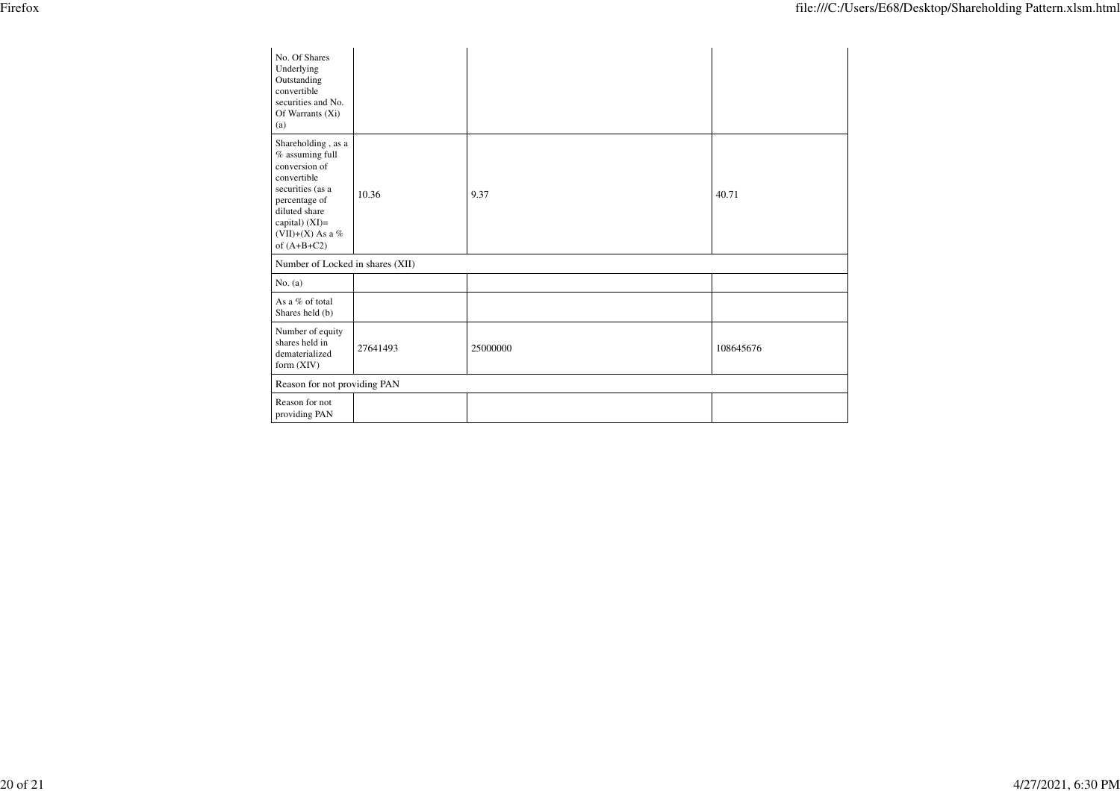| No. Of Shares<br>Underlying<br>Outstanding<br>convertible<br>securities and No.<br>Of Warrants (Xi)<br>(a)                                                                           |          |          |           |
|--------------------------------------------------------------------------------------------------------------------------------------------------------------------------------------|----------|----------|-----------|
| Shareholding, as a<br>% assuming full<br>conversion of<br>convertible<br>securities (as a<br>percentage of<br>diluted share<br>capital) (XI)=<br>(VII)+(X) As a $%$<br>of $(A+B+C2)$ | 10.36    | 9.37     | 40.71     |
| Number of Locked in shares (XII)                                                                                                                                                     |          |          |           |
| No. $(a)$                                                                                                                                                                            |          |          |           |
| As a % of total<br>Shares held (b)                                                                                                                                                   |          |          |           |
| Number of equity<br>shares held in<br>dematerialized<br>form $(XIV)$                                                                                                                 | 27641493 | 25000000 | 108645676 |
| Reason for not providing PAN                                                                                                                                                         |          |          |           |
| Reason for not<br>providing PAN                                                                                                                                                      |          |          |           |